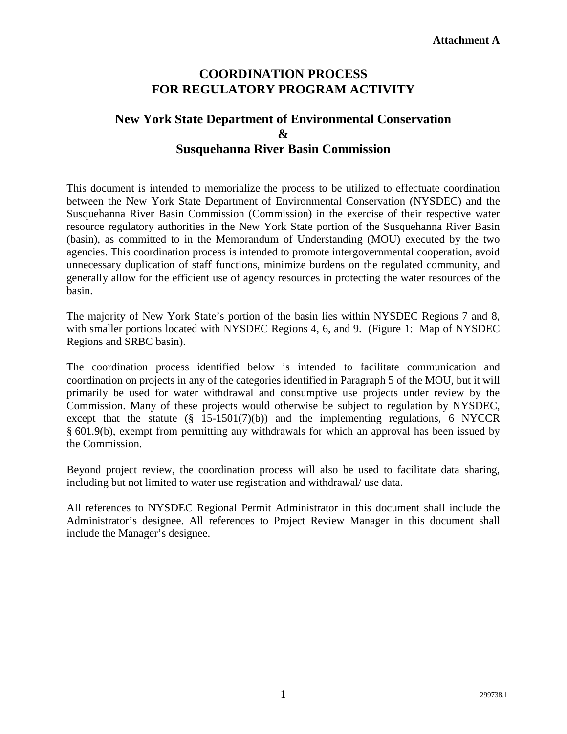## **COORDINATION PROCESS FOR REGULATORY PROGRAM ACTIVITY**

# **New York State Department of Environmental Conservation & Susquehanna River Basin Commission**

This document is intended to memorialize the process to be utilized to effectuate coordination between the New York State Department of Environmental Conservation (NYSDEC) and the Susquehanna River Basin Commission (Commission) in the exercise of their respective water resource regulatory authorities in the New York State portion of the Susquehanna River Basin (basin), as committed to in the Memorandum of Understanding (MOU) executed by the two agencies. This coordination process is intended to promote intergovernmental cooperation, avoid unnecessary duplication of staff functions, minimize burdens on the regulated community, and generally allow for the efficient use of agency resources in protecting the water resources of the basin.

The majority of New York State's portion of the basin lies within NYSDEC Regions 7 and 8, with smaller portions located with NYSDEC Regions 4, 6, and 9. (Figure 1: Map of NYSDEC Regions and SRBC basin).

The coordination process identified below is intended to facilitate communication and coordination on projects in any of the categories identified in Paragraph 5 of the MOU, but it will primarily be used for water withdrawal and consumptive use projects under review by the Commission. Many of these projects would otherwise be subject to regulation by NYSDEC, except that the statute  $(\S$  15-1501(7)(b)) and the implementing regulations, 6 NYCCR § 601.9(b), exempt from permitting any withdrawals for which an approval has been issued by the Commission.

Beyond project review, the coordination process will also be used to facilitate data sharing, including but not limited to water use registration and withdrawal/ use data.

All references to NYSDEC Regional Permit Administrator in this document shall include the Administrator's designee. All references to Project Review Manager in this document shall include the Manager's designee.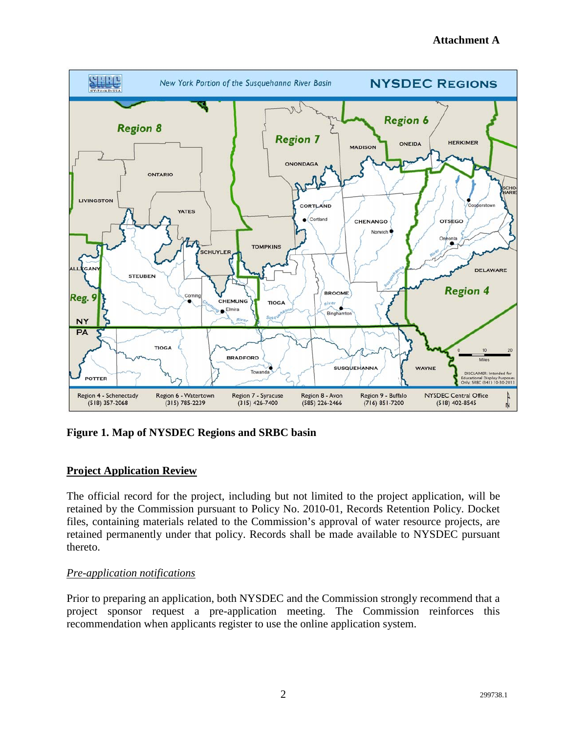

**Figure 1. Map of NYSDEC Regions and SRBC basin** 

## **Project Application Review**

The official record for the project, including but not limited to the project application, will be retained by the Commission pursuant to Policy No. 2010-01, Records Retention Policy. Docket files, containing materials related to the Commission's approval of water resource projects, are retained permanently under that policy. Records shall be made available to NYSDEC pursuant thereto.

## *Pre-application notifications*

Prior to preparing an application, both NYSDEC and the Commission strongly recommend that a project sponsor request a pre-application meeting. The Commission reinforces this recommendation when applicants register to use the online application system.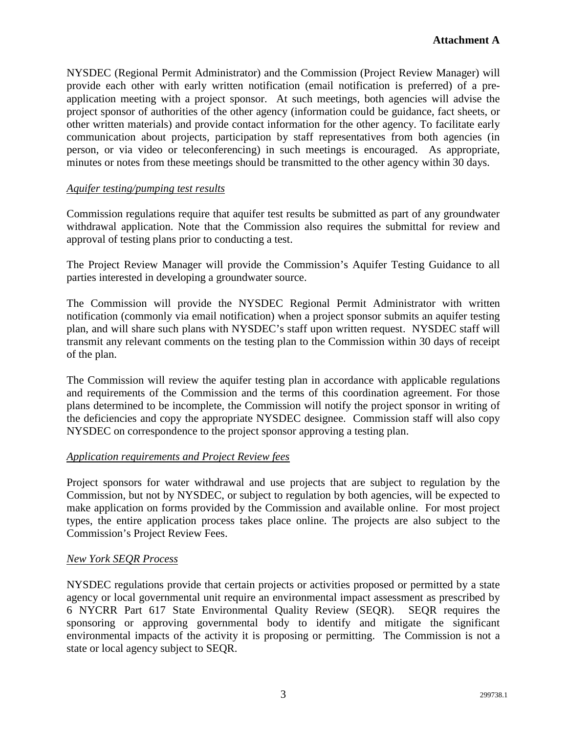NYSDEC (Regional Permit Administrator) and the Commission (Project Review Manager) will provide each other with early written notification (email notification is preferred) of a preapplication meeting with a project sponsor. At such meetings, both agencies will advise the project sponsor of authorities of the other agency (information could be guidance, fact sheets, or other written materials) and provide contact information for the other agency. To facilitate early communication about projects, participation by staff representatives from both agencies (in person, or via video or teleconferencing) in such meetings is encouraged. As appropriate, minutes or notes from these meetings should be transmitted to the other agency within 30 days.

## *Aquifer testing/pumping test results*

Commission regulations require that aquifer test results be submitted as part of any groundwater withdrawal application. Note that the Commission also requires the submittal for review and approval of testing plans prior to conducting a test.

The Project Review Manager will provide the Commission's Aquifer Testing Guidance to all parties interested in developing a groundwater source.

The Commission will provide the NYSDEC Regional Permit Administrator with written notification (commonly via email notification) when a project sponsor submits an aquifer testing plan, and will share such plans with NYSDEC's staff upon written request. NYSDEC staff will transmit any relevant comments on the testing plan to the Commission within 30 days of receipt of the plan.

The Commission will review the aquifer testing plan in accordance with applicable regulations and requirements of the Commission and the terms of this coordination agreement. For those plans determined to be incomplete, the Commission will notify the project sponsor in writing of the deficiencies and copy the appropriate NYSDEC designee. Commission staff will also copy NYSDEC on correspondence to the project sponsor approving a testing plan.

## *Application requirements and Project Review fees*

Project sponsors for water withdrawal and use projects that are subject to regulation by the Commission, but not by NYSDEC, or subject to regulation by both agencies, will be expected to make application on forms provided by the Commission and available online. For most project types, the entire application process takes place online. The projects are also subject to the Commission's Project Review Fees.

#### *New York SEQR Process*

NYSDEC regulations provide that certain projects or activities proposed or permitted by a state agency or local governmental unit require an environmental impact assessment as prescribed by 6 NYCRR Part 617 State Environmental Quality Review (SEQR). SEQR requires the sponsoring or approving governmental body to identify and mitigate the significant environmental impacts of the activity it is proposing or permitting. The Commission is not a state or local agency subject to SEQR.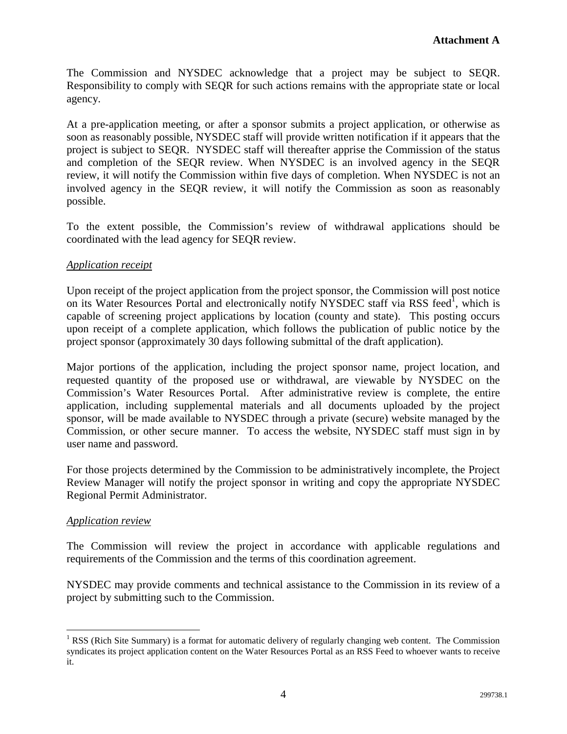The Commission and NYSDEC acknowledge that a project may be subject to SEQR. Responsibility to comply with SEQR for such actions remains with the appropriate state or local agency.

At a pre-application meeting, or after a sponsor submits a project application, or otherwise as soon as reasonably possible, NYSDEC staff will provide written notification if it appears that the project is subject to SEQR. NYSDEC staff will thereafter apprise the Commission of the status and completion of the SEQR review. When NYSDEC is an involved agency in the SEQR review, it will notify the Commission within five days of completion. When NYSDEC is not an involved agency in the SEQR review, it will notify the Commission as soon as reasonably possible.

To the extent possible, the Commission's review of withdrawal applications should be coordinated with the lead agency for SEQR review.

## *Application receipt*

Upon receipt of the project application from the project sponsor, the Commission will post notice on its Water Resources Portal and electronically notify NYSDEC staff via RSS feed<sup>1</sup>, which is capable of screening project applications by location (county and state). This posting occurs upon receipt of a complete application, which follows the publication of public notice by the project sponsor (approximately 30 days following submittal of the draft application).

Major portions of the application, including the project sponsor name, project location, and requested quantity of the proposed use or withdrawal, are viewable by NYSDEC on the Commission's Water Resources Portal. After administrative review is complete, the entire application, including supplemental materials and all documents uploaded by the project sponsor, will be made available to NYSDEC through a private (secure) website managed by the Commission, or other secure manner. To access the website, NYSDEC staff must sign in by user name and password.

For those projects determined by the Commission to be administratively incomplete, the Project Review Manager will notify the project sponsor in writing and copy the appropriate NYSDEC Regional Permit Administrator.

## *Application review*

 $\overline{a}$ 

The Commission will review the project in accordance with applicable regulations and requirements of the Commission and the terms of this coordination agreement.

NYSDEC may provide comments and technical assistance to the Commission in its review of a project by submitting such to the Commission.

<sup>&</sup>lt;sup>1</sup> RSS (Rich Site Summary) is a format for automatic delivery of regularly changing web content. The Commission syndicates its project application content on the Water Resources Portal as an RSS Feed to whoever wants to receive it.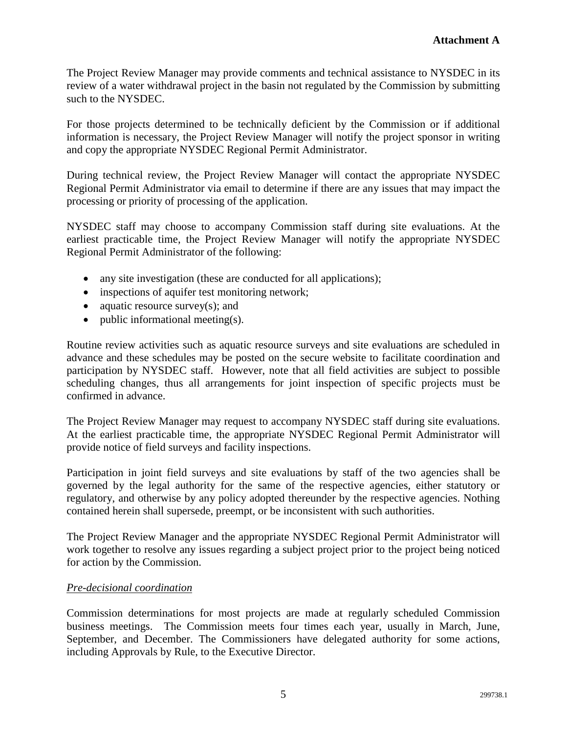The Project Review Manager may provide comments and technical assistance to NYSDEC in its review of a water withdrawal project in the basin not regulated by the Commission by submitting such to the NYSDEC.

For those projects determined to be technically deficient by the Commission or if additional information is necessary, the Project Review Manager will notify the project sponsor in writing and copy the appropriate NYSDEC Regional Permit Administrator.

During technical review, the Project Review Manager will contact the appropriate NYSDEC Regional Permit Administrator via email to determine if there are any issues that may impact the processing or priority of processing of the application.

NYSDEC staff may choose to accompany Commission staff during site evaluations. At the earliest practicable time, the Project Review Manager will notify the appropriate NYSDEC Regional Permit Administrator of the following:

- any site investigation (these are conducted for all applications);
- inspections of aquifer test monitoring network;
- aquatic resource survey(s); and
- public informational meeting(s).

Routine review activities such as aquatic resource surveys and site evaluations are scheduled in advance and these schedules may be posted on the secure website to facilitate coordination and participation by NYSDEC staff. However, note that all field activities are subject to possible scheduling changes, thus all arrangements for joint inspection of specific projects must be confirmed in advance.

The Project Review Manager may request to accompany NYSDEC staff during site evaluations. At the earliest practicable time, the appropriate NYSDEC Regional Permit Administrator will provide notice of field surveys and facility inspections.

Participation in joint field surveys and site evaluations by staff of the two agencies shall be governed by the legal authority for the same of the respective agencies, either statutory or regulatory, and otherwise by any policy adopted thereunder by the respective agencies. Nothing contained herein shall supersede, preempt, or be inconsistent with such authorities.

The Project Review Manager and the appropriate NYSDEC Regional Permit Administrator will work together to resolve any issues regarding a subject project prior to the project being noticed for action by the Commission.

## *Pre-decisional coordination*

Commission determinations for most projects are made at regularly scheduled Commission business meetings. The Commission meets four times each year, usually in March, June, September, and December. The Commissioners have delegated authority for some actions, including Approvals by Rule, to the Executive Director.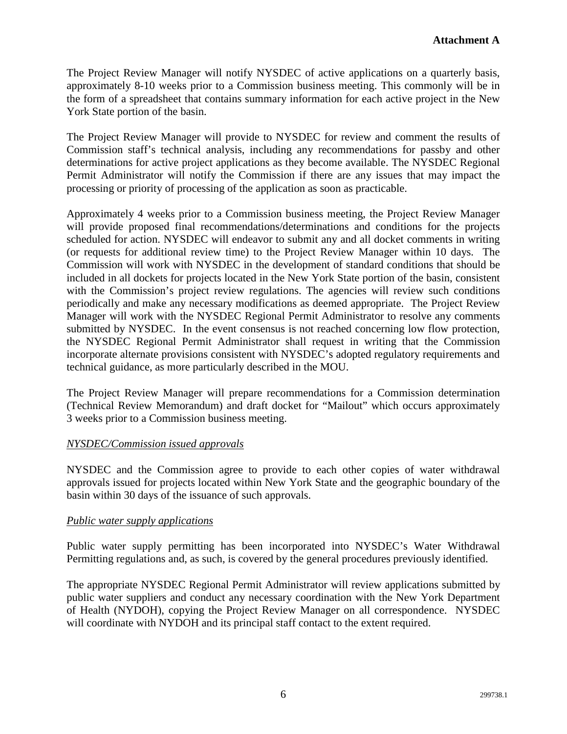The Project Review Manager will notify NYSDEC of active applications on a quarterly basis, approximately 8-10 weeks prior to a Commission business meeting. This commonly will be in the form of a spreadsheet that contains summary information for each active project in the New York State portion of the basin.

The Project Review Manager will provide to NYSDEC for review and comment the results of Commission staff's technical analysis, including any recommendations for passby and other determinations for active project applications as they become available. The NYSDEC Regional Permit Administrator will notify the Commission if there are any issues that may impact the processing or priority of processing of the application as soon as practicable.

Approximately 4 weeks prior to a Commission business meeting, the Project Review Manager will provide proposed final recommendations/determinations and conditions for the projects scheduled for action. NYSDEC will endeavor to submit any and all docket comments in writing (or requests for additional review time) to the Project Review Manager within 10 days. The Commission will work with NYSDEC in the development of standard conditions that should be included in all dockets for projects located in the New York State portion of the basin, consistent with the Commission's project review regulations. The agencies will review such conditions periodically and make any necessary modifications as deemed appropriate. The Project Review Manager will work with the NYSDEC Regional Permit Administrator to resolve any comments submitted by NYSDEC. In the event consensus is not reached concerning low flow protection, the NYSDEC Regional Permit Administrator shall request in writing that the Commission incorporate alternate provisions consistent with NYSDEC's adopted regulatory requirements and technical guidance, as more particularly described in the MOU.

The Project Review Manager will prepare recommendations for a Commission determination (Technical Review Memorandum) and draft docket for "Mailout" which occurs approximately 3 weeks prior to a Commission business meeting.

## *NYSDEC/Commission issued approvals*

NYSDEC and the Commission agree to provide to each other copies of water withdrawal approvals issued for projects located within New York State and the geographic boundary of the basin within 30 days of the issuance of such approvals.

## *Public water supply applications*

Public water supply permitting has been incorporated into NYSDEC's Water Withdrawal Permitting regulations and, as such, is covered by the general procedures previously identified.

The appropriate NYSDEC Regional Permit Administrator will review applications submitted by public water suppliers and conduct any necessary coordination with the New York Department of Health (NYDOH), copying the Project Review Manager on all correspondence. NYSDEC will coordinate with NYDOH and its principal staff contact to the extent required.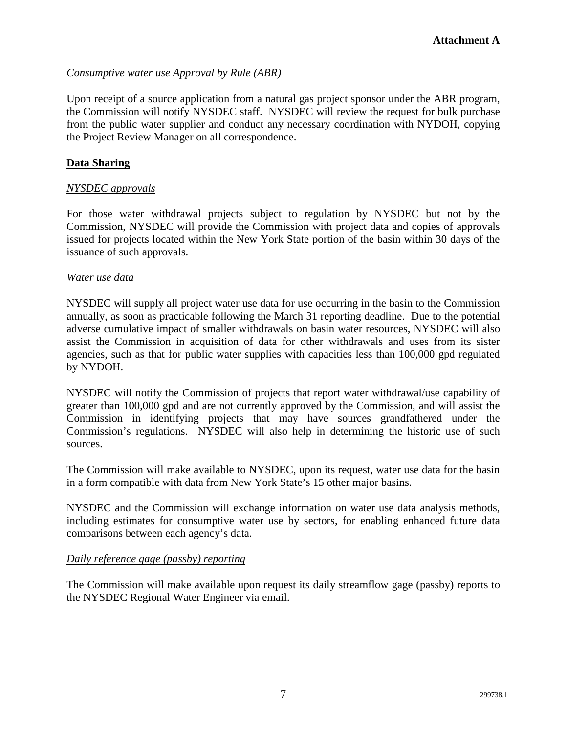### *Consumptive water use Approval by Rule (ABR)*

Upon receipt of a source application from a natural gas project sponsor under the ABR program, the Commission will notify NYSDEC staff. NYSDEC will review the request for bulk purchase from the public water supplier and conduct any necessary coordination with NYDOH, copying the Project Review Manager on all correspondence.

#### **Data Sharing**

### *NYSDEC approvals*

For those water withdrawal projects subject to regulation by NYSDEC but not by the Commission, NYSDEC will provide the Commission with project data and copies of approvals issued for projects located within the New York State portion of the basin within 30 days of the issuance of such approvals.

#### *Water use data*

NYSDEC will supply all project water use data for use occurring in the basin to the Commission annually, as soon as practicable following the March 31 reporting deadline. Due to the potential adverse cumulative impact of smaller withdrawals on basin water resources, NYSDEC will also assist the Commission in acquisition of data for other withdrawals and uses from its sister agencies, such as that for public water supplies with capacities less than 100,000 gpd regulated by NYDOH.

NYSDEC will notify the Commission of projects that report water withdrawal/use capability of greater than 100,000 gpd and are not currently approved by the Commission, and will assist the Commission in identifying projects that may have sources grandfathered under the Commission's regulations. NYSDEC will also help in determining the historic use of such sources.

The Commission will make available to NYSDEC, upon its request, water use data for the basin in a form compatible with data from New York State's 15 other major basins.

NYSDEC and the Commission will exchange information on water use data analysis methods, including estimates for consumptive water use by sectors, for enabling enhanced future data comparisons between each agency's data.

#### *Daily reference gage (passby) reporting*

The Commission will make available upon request its daily streamflow gage (passby) reports to the NYSDEC Regional Water Engineer via email.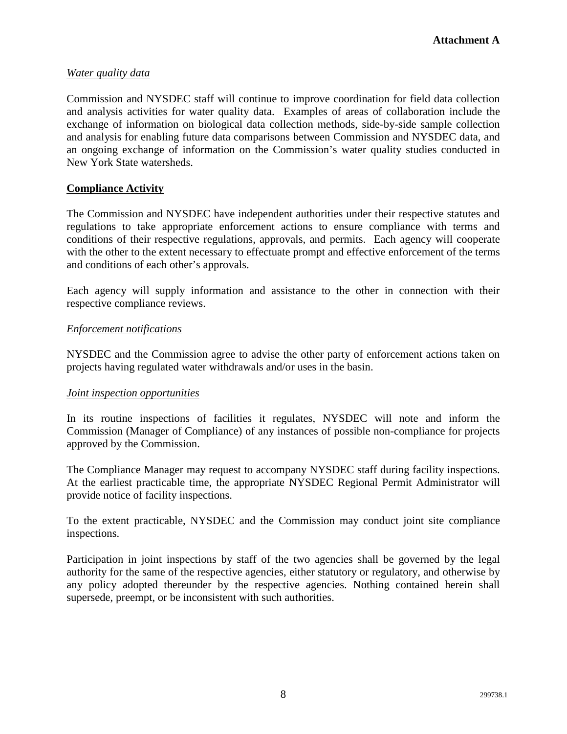### *Water quality data*

Commission and NYSDEC staff will continue to improve coordination for field data collection and analysis activities for water quality data. Examples of areas of collaboration include the exchange of information on biological data collection methods, side-by-side sample collection and analysis for enabling future data comparisons between Commission and NYSDEC data, and an ongoing exchange of information on the Commission's water quality studies conducted in New York State watersheds.

#### **Compliance Activity**

The Commission and NYSDEC have independent authorities under their respective statutes and regulations to take appropriate enforcement actions to ensure compliance with terms and conditions of their respective regulations, approvals, and permits. Each agency will cooperate with the other to the extent necessary to effectuate prompt and effective enforcement of the terms and conditions of each other's approvals.

Each agency will supply information and assistance to the other in connection with their respective compliance reviews.

#### *Enforcement notifications*

NYSDEC and the Commission agree to advise the other party of enforcement actions taken on projects having regulated water withdrawals and/or uses in the basin.

#### *Joint inspection opportunities*

In its routine inspections of facilities it regulates, NYSDEC will note and inform the Commission (Manager of Compliance) of any instances of possible non-compliance for projects approved by the Commission.

The Compliance Manager may request to accompany NYSDEC staff during facility inspections. At the earliest practicable time, the appropriate NYSDEC Regional Permit Administrator will provide notice of facility inspections.

To the extent practicable, NYSDEC and the Commission may conduct joint site compliance inspections.

Participation in joint inspections by staff of the two agencies shall be governed by the legal authority for the same of the respective agencies, either statutory or regulatory, and otherwise by any policy adopted thereunder by the respective agencies. Nothing contained herein shall supersede, preempt, or be inconsistent with such authorities.